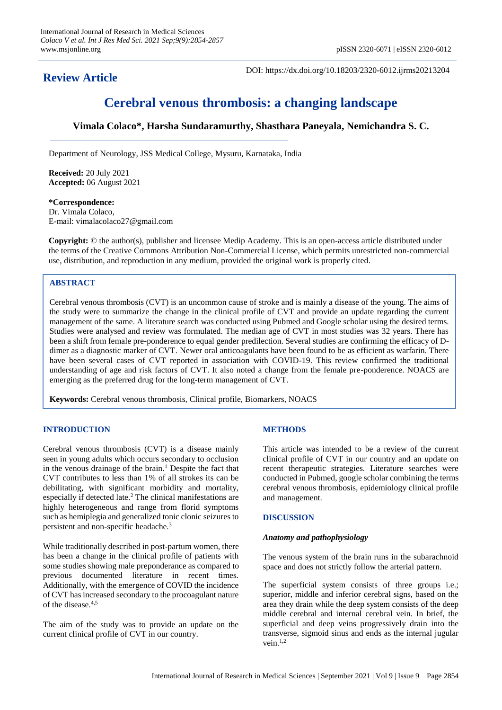**Review Article**

DOI: https://dx.doi.org/10.18203/2320-6012.ijrms20213204

# **Cerebral venous thrombosis: a changing landscape**

# **Vimala Colaco\*, Harsha Sundaramurthy, Shasthara Paneyala, Nemichandra S. C.**

Department of Neurology, JSS Medical College, Mysuru, Karnataka, India

**Received:** 20 July 2021 **Accepted:** 06 August 2021

**\*Correspondence:** Dr. Vimala Colaco, E-mail: vimalacolaco27@gmail.com

**Copyright:** © the author(s), publisher and licensee Medip Academy. This is an open-access article distributed under the terms of the Creative Commons Attribution Non-Commercial License, which permits unrestricted non-commercial use, distribution, and reproduction in any medium, provided the original work is properly cited.

# **ABSTRACT**

Cerebral venous thrombosis (CVT) is an uncommon cause of stroke and is mainly a disease of the young. The aims of the study were to summarize the change in the clinical profile of CVT and provide an update regarding the current management of the same. A literature search was conducted using Pubmed and Google scholar using the desired terms. Studies were analysed and review was formulated. The median age of CVT in most studies was 32 years. There has been a shift from female pre-ponderence to equal gender predilection. Several studies are confirming the efficacy of Ddimer as a diagnostic marker of CVT. Newer oral anticoagulants have been found to be as efficient as warfarin. There have been several cases of CVT reported in association with COVID-19. This review confirmed the traditional understanding of age and risk factors of CVT. It also noted a change from the female pre-ponderence. NOACS are emerging as the preferred drug for the long-term management of CVT.

**Keywords:** Cerebral venous thrombosis, Clinical profile, Biomarkers, NOACS

# **INTRODUCTION**

Cerebral venous thrombosis (CVT) is a disease mainly seen in young adults which occurs secondary to occlusion in the venous drainage of the brain.<sup>1</sup> Despite the fact that CVT contributes to less than 1% of all strokes its can be debilitating, with significant morbidity and mortality, especially if detected late.<sup>2</sup> The clinical manifestations are highly heterogeneous and range from florid symptoms such as hemiplegia and generalized tonic clonic seizures to persistent and non-specific headache.<sup>3</sup>

While traditionally described in post-partum women, there has been a change in the clinical profile of patients with some studies showing male preponderance as compared to previous documented literature in recent times. Additionally, with the emergence of COVID the incidence of CVT has increased secondary to the procoagulant nature of the disease. $4,5$ 

The aim of the study was to provide an update on the current clinical profile of CVT in our country.

# **METHODS**

This article was intended to be a review of the current clinical profile of CVT in our country and an update on recent therapeutic strategies. Literature searches were conducted in Pubmed, google scholar combining the terms cerebral venous thrombosis, epidemiology clinical profile and management.

# **DISCUSSION**

#### *Anatomy and pathophysiology*

The venous system of the brain runs in the subarachnoid space and does not strictly follow the arterial pattern.

The superficial system consists of three groups i.e.; superior, middle and inferior cerebral signs, based on the area they drain while the deep system consists of the deep middle cerebral and internal cerebral vein. In brief, the superficial and deep veins progressively drain into the transverse, sigmoid sinus and ends as the internal jugular vein.1,2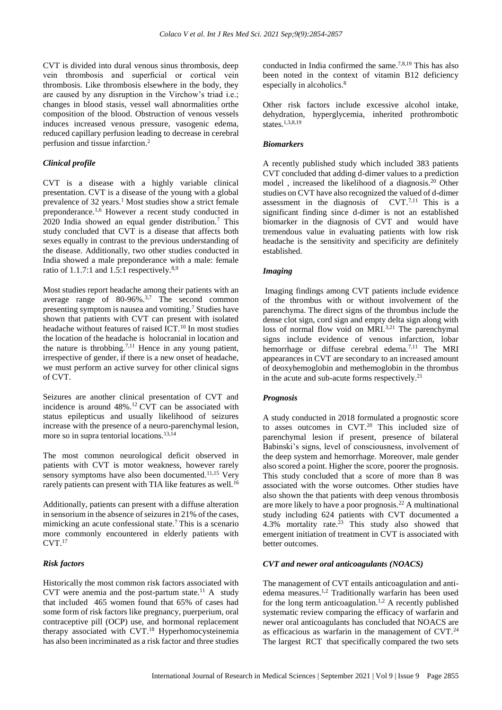CVT is divided into dural venous sinus thrombosis, deep vein thrombosis and superficial or cortical vein thrombosis. Like thrombosis elsewhere in the body, they are caused by any disruption in the Virchow's triad i.e.; changes in blood stasis, vessel wall abnormalities orthe composition of the blood. Obstruction of venous vessels induces increased venous pressure, vasogenic edema, reduced capillary perfusion leading to decrease in cerebral perfusion and tissue infarction.<sup>2</sup>

# *Clinical profile*

CVT is a disease with a highly variable clinical presentation. CVT is a disease of the young with a global prevalence of  $32 \text{ years}$ .<sup>1</sup> Most studies show a strict female preponderance.<sup>1,6</sup> However a recent study conducted in 2020 India showed an equal gender distribution.<sup>7</sup> This study concluded that CVT is a disease that affects both sexes equally in contrast to the previous understanding of the disease. Additionally, two other studies conducted in India showed a male preponderance with a male: female ratio of 1.1.7:1 and 1.5:1 respectively. $8,9$ 

Most studies report headache among their patients with an average range of  $80-96\%$ .<sup>3,7</sup> The second common presenting symptom is nausea and vomiting. <sup>7</sup> Studies have shown that patients with CVT can present with isolated headache without features of raised ICT.<sup>10</sup> In most studies the location of the headache is holocranial in location and the nature is throbbing.<sup>7,11</sup> Hence in any young patient, irrespective of gender, if there is a new onset of headache, we must perform an active survey for other clinical signs of CVT.

Seizures are another clinical presentation of CVT and incidence is around  $48\%$ .<sup>12</sup> CVT can be associated with status epilepticus and usually likelihood of seizures increase with the presence of a neuro-parenchymal lesion, more so in supra tentorial locations.<sup>13,14</sup>

The most common neurological deficit observed in patients with CVT is motor weakness, however rarely sensory symptoms have also been documented.<sup>11,15</sup> Very rarely patients can present with TIA like features as well.<sup>16</sup>

Additionally, patients can present with a diffuse alteration in sensorium in the absence of seizures in 21% of the cases, mimicking an acute confessional state.<sup>7</sup> This is a scenario more commonly encountered in elderly patients with  $CVT$ <sup>17</sup>

#### *Risk factors*

Historically the most common risk factors associated with CVT were anemia and the post-partum state.<sup>11</sup> A study that included 465 women found that 65% of cases had some form of risk factors like pregnancy, puerperium, oral contraceptive pill (OCP) use, and hormonal replacement therapy associated with CVT.<sup>18</sup> Hyperhomocysteinemia has also been incriminated as a risk factor and three studies conducted in India confirmed the same.7,8,19 This has also been noted in the context of vitamin B12 deficiency especially in alcoholics.<sup>8</sup>

Other risk factors include excessive alcohol intake, dehydration, hyperglycemia, inherited prothrombotic states.<sup>1,3,8,19</sup>

#### *Biomarkers*

A recently published study which included 383 patients CVT concluded that adding d-dimer values to a prediction model , increased the likelihood of a diagnosis.<sup>20</sup> Other studies on CVT have also recognized the valued of d-dimer assessment in the diagnosis of  $CVT$ .<sup>7,11</sup> This is a significant finding since d-dimer is not an established biomarker in the diagnosis of CVT and would have tremendous value in evaluating patients with low risk headache is the sensitivity and specificity are definitely established.

#### *Imaging*

Imaging findings among CVT patients include evidence of the thrombus with or without involvement of the parenchyma. The direct signs of the thrombus include the dense clot sign, cord sign and empty delta sign along with loss of normal flow void on MRI.<sup>3,21</sup> The parenchymal signs include evidence of venous infarction, lobar hemorrhage or diffuse cerebral edema.<sup>7,11</sup> The MRI appearances in CVT are secondary to an increased amount of deoxyhemoglobin and methemoglobin in the thrombus in the acute and sub-acute forms respectively.<sup>21</sup>

#### *Prognosis*

A study conducted in 2018 formulated a prognostic score to asses outcomes in CVT.<sup>20</sup> This included size of parenchymal lesion if present, presence of bilateral Babinski's signs, level of consciousness, involvement of the deep system and hemorrhage. Moreover, male gender also scored a point. Higher the score, poorer the prognosis. This study concluded that a score of more than 8 was associated with the worse outcomes. Other studies have also shown the that patients with deep venous thrombosis are more likely to have a poor prognosis.<sup>22</sup> A multinational study including 624 patients with CVT documented a 4.3% mortality rate.<sup>23</sup> This study also showed that emergent initiation of treatment in CVT is associated with better outcomes.

#### *CVT and newer oral anticoagulants (NOACS)*

The management of CVT entails anticoagulation and antiedema measures.1,2 Traditionally warfarin has been used for the long term anticoagulation.<sup>1,2</sup> A recently published systematic review comparing the efficacy of warfarin and newer oral anticoagulants has concluded that NOACS are as efficacious as warfarin in the management of CVT.<sup>24</sup> The largest RCT that specifically compared the two sets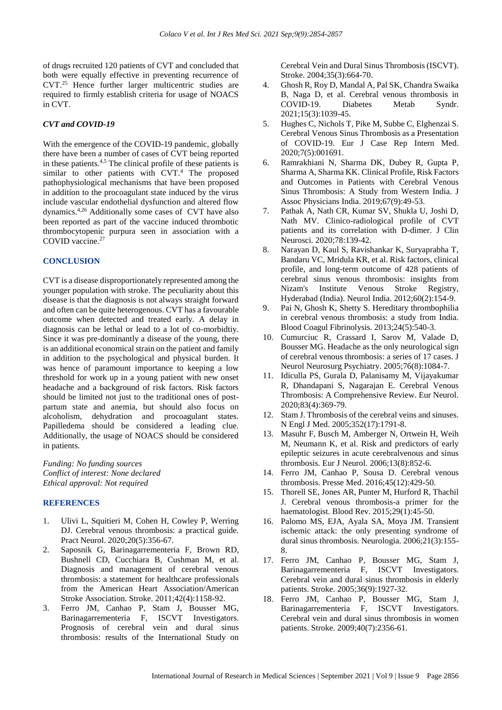of drugs recruited 120 patients of CVT and concluded that both were equally effective in preventing recurrence of CVT.<sup>25</sup> Hence further larger multicentric studies are required to firmly establish criteria for usage of NOACS in CVT.

## *CVT and COVID-19*

With the emergence of the COVID-19 pandemic, globally there have been a number of cases of CVT being reported in these patients.4,5 The clinical profile of these patients is similar to other patients with CVT.<sup>4</sup> The proposed pathophysiological mechanisms that have been proposed in addition to the procoagulant state induced by the virus include vascular endothelial dysfunction and altered flow dynamics.4,26 Additionally some cases of CVT have also been reported as part of the vaccine induced thrombotic thrombocytopenic purpura seen in association with a COVID vaccine.<sup>27</sup>

#### **CONCLUSION**

CVT is a disease disproportionately represented among the younger population with stroke. The peculiarity about this disease is that the diagnosis is not always straight forward and often can be quite heterogenous. CVT has a favourable outcome when detected and treated early. A delay in diagnosis can be lethal or lead to a lot of co-morbidtiy. Since it was pre-dominantly a disease of the young, there is an additional economical strain on the patient and family in addition to the psychological and physical burden. It was hence of paramount importance to keeping a low threshold for work up in a young patient with new onset headache and a background of risk factors. Risk factors should be limited not just to the traditional ones of postpartum state and anemia, but should also focus on alcoholism, dehydration and procoagulant states. Papilledema should be considered a leading clue. Additionally, the usage of NOACS should be considered in patients.

*Funding: No funding sources Conflict of interest: None declared Ethical approval: Not required*

## **REFERENCES**

- 1. Ulivi L, Squitieri M, Cohen H, Cowley P, Werring DJ. Cerebral venous thrombosis: a practical guide. Pract Neurol. 2020;20(5):356-67.
- 2. Saposnik G, Barinagarrementeria F, Brown RD, Bushnell CD, Cucchiara B, Cushman M, et al. Diagnosis and management of cerebral venous thrombosis: a statement for healthcare professionals from the American Heart Association/American Stroke Association. Stroke. 2011;42(4):1158-92.
- 3. Ferro JM, Canhao P, Stam J, Bousser MG, Barinagarrementeria F, ISCVT Investigators. Prognosis of cerebral vein and dural sinus thrombosis: results of the International Study on

Cerebral Vein and Dural Sinus Thrombosis (ISCVT). Stroke. 2004;35(3):664-70.

- 4. Ghosh R, Roy D, Mandal A, Pal SK, Chandra Swaika B, Naga D, et al. Cerebral venous thrombosis in COVID-19. Diabetes Metab Syndr. 2021;15(3):1039-45.
- 5. Hughes C, Nichols T, Pike M, Subbe C, Elghenzai S. Cerebral Venous Sinus Thrombosis as a Presentation of COVID-19. Eur J Case Rep Intern Med. 2020;7(5):001691.
- 6. Ramrakhiani N, Sharma DK, Dubey R, Gupta P, Sharma A, Sharma KK. Clinical Profile, Risk Factors and Outcomes in Patients with Cerebral Venous Sinus Thrombosis: A Study from Western India. J Assoc Physicians India. 2019;67(9):49-53.
- 7. Pathak A, Nath CR, Kumar SV, Shukla U, Joshi D, Nath MV. Clinico-radiological profile of CVT patients and its correlation with D-dimer. J Clin Neurosci. 2020;78:139-42.
- 8. Narayan D, Kaul S, Ravishankar K, Suryaprabha T, Bandaru VC, Mridula KR, et al. Risk factors, clinical profile, and long-term outcome of 428 patients of cerebral sinus venous thrombosis: insights from Nizam's Institute Venous Stroke Registry, Hyderabad (India). Neurol India. 2012;60(2):154-9.
- 9. Pai N, Ghosh K, Shetty S. Hereditary thrombophilia in cerebral venous thrombosis: a study from India. Blood Coagul Fibrinolysis. 2013;24(5):540-3.
- 10. Cumurciuc R, Crassard I, Sarov M, Valade D, Bousser MG. Headache as the only neurological sign of cerebral venous thrombosis: a series of 17 cases. J Neurol Neurosurg Psychiatry. 2005;76(8):1084-7.
- 11. Idiculla PS, Gurala D, Palanisamy M, Vijayakumar R, Dhandapani S, Nagarajan E. Cerebral Venous Thrombosis: A Comprehensive Review. Eur Neurol. 2020;83(4):369-79.
- 12. Stam J. Thrombosis of the cerebral veins and sinuses. N Engl J Med. 2005;352(17):1791-8.
- 13. Masuhr F, Busch M, Amberger N, Ortwein H, Weih M, Neumann K, et al. Risk and predictors of early epileptic seizures in acute cerebralvenous and sinus thrombosis. Eur J Neurol. 2006;13(8):852-6.
- 14. Ferro JM, Canhao P, Sousa D. Cerebral venous thrombosis. Presse Med. 2016;45(12):429-50.
- 15. Thorell SE, Jones AR, Punter M, Hurford R, Thachil J. Cerebral venous thrombosis-a primer for the haematologist. Blood Rev. 2015;29(1):45-50.
- 16. Palomo MS, EJA, Ayala SA, Moya JM. Transient ischemic attack: the only presenting syndrome of dural sinus thrombosis. Neurologia. 2006;21(3):155- 8.
- 17. Ferro JM, Canhao P, Bousser MG, Stam J, Barinagarrementeria F, ISCVT Investigators. Cerebral vein and dural sinus thrombosis in elderly patients. Stroke. 2005;36(9):1927-32.
- 18. Ferro JM, Canhao P, Bousser MG, Stam J, Barinagarrementeria F, ISCVT Investigators. Cerebral vein and dural sinus thrombosis in women patients. Stroke. 2009;40(7):2356-61.